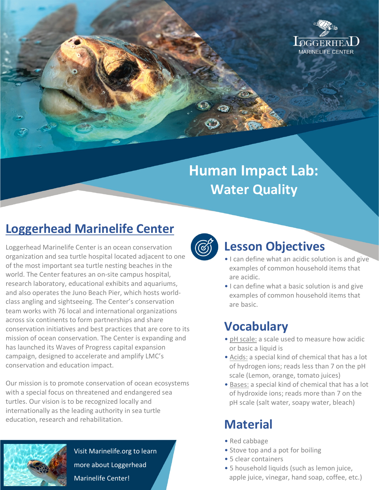

# **Human Impact Lab: Water Quality**

## **Loggerhead Marinelife Center**

Loggerhead Marinelife Center is an ocean conservation organization and sea turtle hospital located adjacent to one of the most important sea turtle nesting beaches in the world. The Center features an on-site campus hospital, research laboratory, educational exhibits and aquariums, and also operates the Juno Beach Pier, which hosts worldclass angling and sightseeing. The Center's conservation team works with 76 local and international organizations across six continents to form partnerships and share conservation initiatives and best practices that are core to its mission of ocean conservation. The Center is expanding and has launched its Waves of Progress capital expansion campaign, designed to accelerate and amplify LMC's conservation and education impact.

Our mission is to promote conservation of ocean ecosystems with a special focus on threatened and endangered sea turtles. Our vision is to be recognized locally and internationally as the leading authority in sea turtle education, research and rehabilitation.



Visit Marinelife.org to learn more about Loggerhead Marinelife Center!



### **Lesson Objectives**

- I can define what an acidic solution is and give examples of common household items that are acidic.
- I can define what a basic solution is and give examples of common household items that are basic.

### **Vocabulary**

- pH scale: a scale used to measure how acidic or basic a liquid is
- Acids: a special kind of chemical that has a lot of hydrogen ions; reads less than 7 on the pH scale (Lemon, orange, tomato juices)
- Bases: a special kind of chemical that has a lot of hydroxide ions; reads more than 7 on the pH scale (salt water, soapy water, bleach)

### **Material**

- Red cabbage
- Stove top and a pot for boiling
- 5 clear containers
- 5 household liquids (such as lemon juice, apple juice, vinegar, hand soap, coffee, etc.)